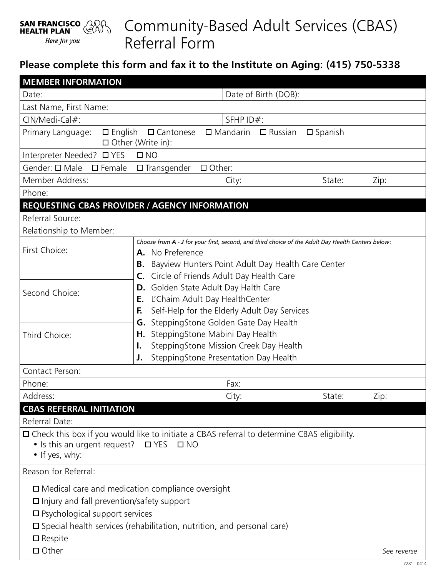## Community-Based Adult Services (CBAS) **SAN FRANCISCO** (2000) Referral Form Here for you

## **Please complete this form and fax it to the Institute on Aging: (415) 750-5338**

| <b>MEMBER INFORMATION</b>                                                                                                                                                                                                                                     |                                                                                                                                                                                                                                    |                      |                   |                   |             |
|---------------------------------------------------------------------------------------------------------------------------------------------------------------------------------------------------------------------------------------------------------------|------------------------------------------------------------------------------------------------------------------------------------------------------------------------------------------------------------------------------------|----------------------|-------------------|-------------------|-------------|
| Date:                                                                                                                                                                                                                                                         |                                                                                                                                                                                                                                    | Date of Birth (DOB): |                   |                   |             |
| Last Name, First Name:                                                                                                                                                                                                                                        |                                                                                                                                                                                                                                    |                      |                   |                   |             |
| CIN/Medi-Cal#:                                                                                                                                                                                                                                                |                                                                                                                                                                                                                                    | SFHP ID#:            |                   |                   |             |
| Primary Language:<br>$\square$ English                                                                                                                                                                                                                        | $\square$ Cantonese<br>$\Box$ Other (Write in):                                                                                                                                                                                    | $\square$ Mandarin   | $\square$ Russian | $\square$ Spanish |             |
| Interpreter Needed? □ YES<br>$\square$ NO                                                                                                                                                                                                                     |                                                                                                                                                                                                                                    |                      |                   |                   |             |
| Gender: □ Male<br>$\square$ Female<br>$\square$ Transgender<br>$\Box$ Other:                                                                                                                                                                                  |                                                                                                                                                                                                                                    |                      |                   |                   |             |
| Member Address:                                                                                                                                                                                                                                               |                                                                                                                                                                                                                                    | City:                |                   | State:            | Zip:        |
| Phone:                                                                                                                                                                                                                                                        |                                                                                                                                                                                                                                    |                      |                   |                   |             |
| REQUESTING CBAS PROVIDER / AGENCY INFORMATION                                                                                                                                                                                                                 |                                                                                                                                                                                                                                    |                      |                   |                   |             |
| Referral Source:                                                                                                                                                                                                                                              |                                                                                                                                                                                                                                    |                      |                   |                   |             |
| Relationship to Member:                                                                                                                                                                                                                                       |                                                                                                                                                                                                                                    |                      |                   |                   |             |
| First Choice:                                                                                                                                                                                                                                                 | Choose from A - J for your first, second, and third choice of the Adult Day Health Centers below:<br>A. No Preference<br>Bayview Hunters Point Adult Day Health Care Center<br>В.<br>Circle of Friends Adult Day Health Care<br>C. |                      |                   |                   |             |
| Second Choice:                                                                                                                                                                                                                                                | Golden State Adult Day Halth Care<br>D.<br>L'Chaim Adult Day HealthCenter<br>Ε.<br>Self-Help for the Elderly Adult Day Services<br>F.<br>SteppingStone Golden Gate Day Health<br>G.                                                |                      |                   |                   |             |
| Third Choice:                                                                                                                                                                                                                                                 | SteppingStone Mabini Day Health<br>Η.<br>SteppingStone Mission Creek Day Health<br>I.<br>SteppingStone Presentation Day Health<br>J.                                                                                               |                      |                   |                   |             |
| Contact Person:                                                                                                                                                                                                                                               |                                                                                                                                                                                                                                    |                      |                   |                   |             |
| Phone:                                                                                                                                                                                                                                                        |                                                                                                                                                                                                                                    | Fax:                 |                   |                   |             |
| Address:                                                                                                                                                                                                                                                      |                                                                                                                                                                                                                                    | City:                |                   | State:            | Zip:        |
| <b>CBAS REFERRAL INITIATION</b>                                                                                                                                                                                                                               |                                                                                                                                                                                                                                    |                      |                   |                   |             |
| Referral Date:                                                                                                                                                                                                                                                |                                                                                                                                                                                                                                    |                      |                   |                   |             |
| $\Box$ Check this box if you would like to initiate a CBAS referral to determine CBAS eligibility.<br>• Is this an urgent request? $\Box$ YES $\Box$ NO<br>• If yes, why:                                                                                     |                                                                                                                                                                                                                                    |                      |                   |                   |             |
| Reason for Referral:                                                                                                                                                                                                                                          |                                                                                                                                                                                                                                    |                      |                   |                   |             |
| $\Box$ Medical care and medication compliance oversight<br>$\Box$ Injury and fall prevention/safety support<br>$\square$ Psychological support services<br>$\square$ Special health services (rehabilitation, nutrition, and personal care)<br>$\Box$ Respite |                                                                                                                                                                                                                                    |                      |                   |                   |             |
| $\Box$ Other                                                                                                                                                                                                                                                  |                                                                                                                                                                                                                                    |                      |                   |                   | See reverse |